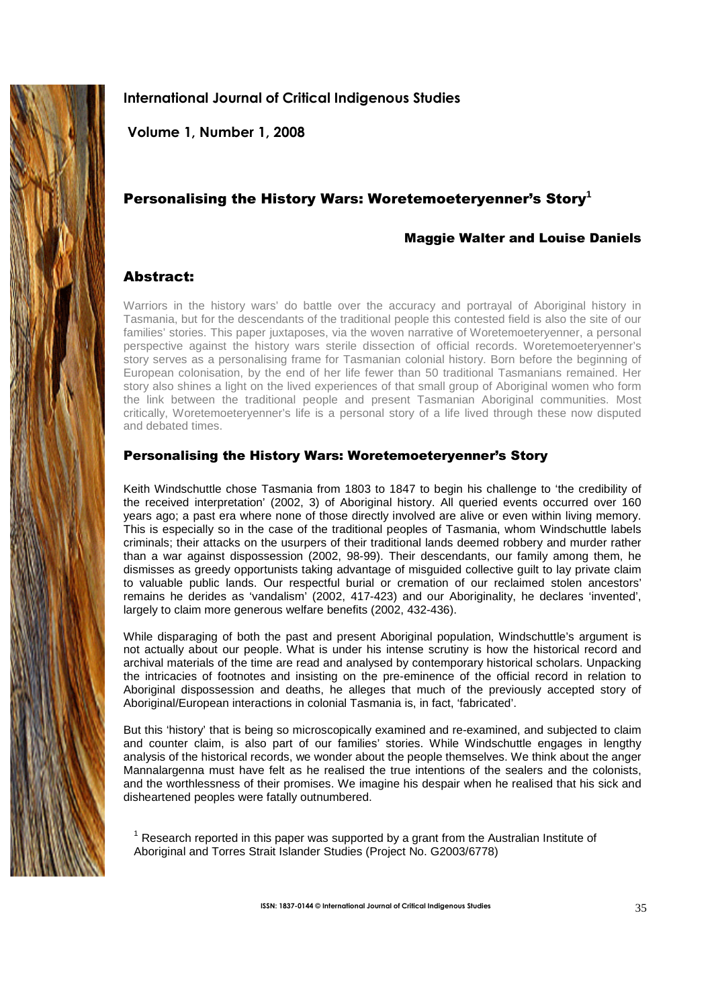

# **International Journal of Critical Indigenous Studies**

 **Volume 1, Number 1, 2008** 

# Personalising the History Wars: Woretemoeteryenner's Story**<sup>1</sup>**

# Maggie Walter and Louise Daniels

# Abstract:

Warriors in the history wars' do battle over the accuracy and portrayal of Aboriginal history in Tasmania, but for the descendants of the traditional people this contested field is also the site of our families' stories. This paper juxtaposes, via the woven narrative of Woretemoeteryenner, a personal perspective against the history wars sterile dissection of official records. Woretemoeteryenner's story serves as a personalising frame for Tasmanian colonial history. Born before the beginning of European colonisation, by the end of her life fewer than 50 traditional Tasmanians remained. Her story also shines a light on the lived experiences of that small group of Aboriginal women who form the link between the traditional people and present Tasmanian Aboriginal communities. Most critically, Woretemoeteryenner's life is a personal story of a life lived through these now disputed and debated times.

# Personalising the History Wars: Woretemoeteryenner's Story

Keith Windschuttle chose Tasmania from 1803 to 1847 to begin his challenge to 'the credibility of the received interpretation' (2002, 3) of Aboriginal history. All queried events occurred over 160 years ago; a past era where none of those directly involved are alive or even within living memory. This is especially so in the case of the traditional peoples of Tasmania, whom Windschuttle labels criminals; their attacks on the usurpers of their traditional lands deemed robbery and murder rather than a war against dispossession (2002, 98-99). Their descendants, our family among them, he dismisses as greedy opportunists taking advantage of misguided collective guilt to lay private claim to valuable public lands. Our respectful burial or cremation of our reclaimed stolen ancestors' remains he derides as 'vandalism' (2002, 417-423) and our Aboriginality, he declares 'invented', largely to claim more generous welfare benefits (2002, 432-436).

While disparaging of both the past and present Aboriginal population, Windschuttle's argument is not actually about our people. What is under his intense scrutiny is how the historical record and archival materials of the time are read and analysed by contemporary historical scholars. Unpacking the intricacies of footnotes and insisting on the pre-eminence of the official record in relation to Aboriginal dispossession and deaths, he alleges that much of the previously accepted story of Aboriginal/European interactions in colonial Tasmania is, in fact, 'fabricated'.

But this 'history' that is being so microscopically examined and re-examined, and subjected to claim and counter claim, is also part of our families' stories. While Windschuttle engages in lengthy analysis of the historical records, we wonder about the people themselves. We think about the anger Mannalargenna must have felt as he realised the true intentions of the sealers and the colonists, and the worthlessness of their promises. We imagine his despair when he realised that his sick and disheartened peoples were fatally outnumbered.

 $1$  Research reported in this paper was supported by a grant from the Australian Institute of Aboriginal and Torres Strait Islander Studies (Project No. G2003/6778)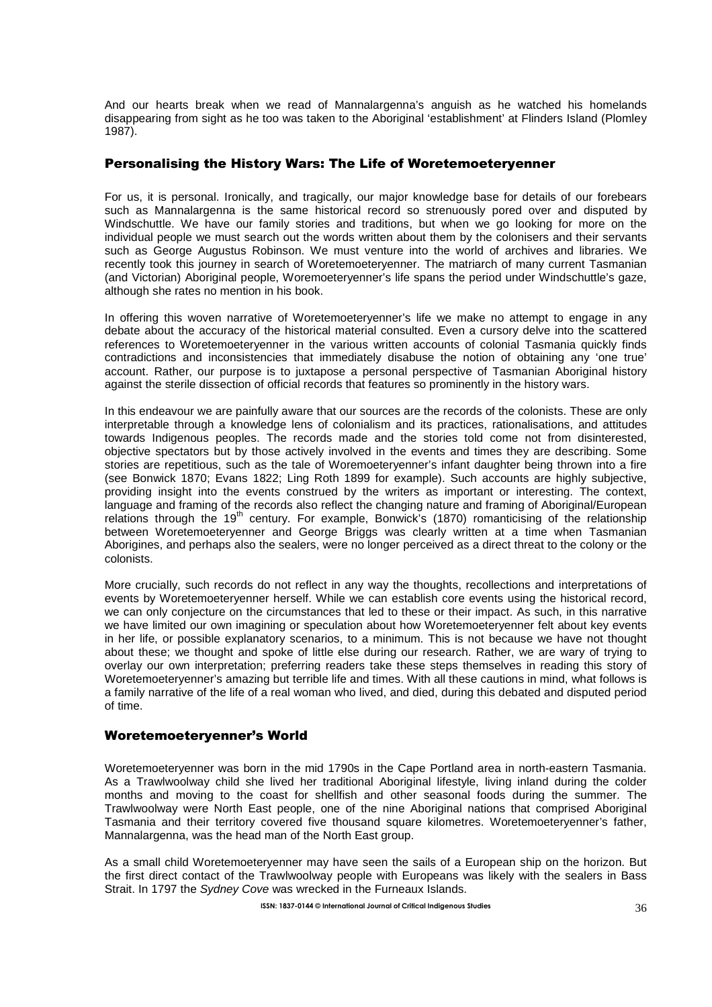And our hearts break when we read of Mannalargenna's anguish as he watched his homelands disappearing from sight as he too was taken to the Aboriginal 'establishment' at Flinders Island (Plomley 1987).

## Personalising the History Wars: The Life of Woretemoeteryenner

For us, it is personal. Ironically, and tragically, our major knowledge base for details of our forebears such as Mannalargenna is the same historical record so strenuously pored over and disputed by Windschuttle. We have our family stories and traditions, but when we go looking for more on the individual people we must search out the words written about them by the colonisers and their servants such as George Augustus Robinson. We must venture into the world of archives and libraries. We recently took this journey in search of Woretemoeteryenner. The matriarch of many current Tasmanian (and Victorian) Aboriginal people, Woremoeteryenner's life spans the period under Windschuttle's gaze, although she rates no mention in his book.

In offering this woven narrative of Woretemoeteryenner's life we make no attempt to engage in any debate about the accuracy of the historical material consulted. Even a cursory delve into the scattered references to Woretemoeteryenner in the various written accounts of colonial Tasmania quickly finds contradictions and inconsistencies that immediately disabuse the notion of obtaining any 'one true' account. Rather, our purpose is to juxtapose a personal perspective of Tasmanian Aboriginal history against the sterile dissection of official records that features so prominently in the history wars.

In this endeavour we are painfully aware that our sources are the records of the colonists. These are only interpretable through a knowledge lens of colonialism and its practices, rationalisations, and attitudes towards Indigenous peoples. The records made and the stories told come not from disinterested, objective spectators but by those actively involved in the events and times they are describing. Some stories are repetitious, such as the tale of Woremoeteryenner's infant daughter being thrown into a fire (see Bonwick 1870; Evans 1822; Ling Roth 1899 for example). Such accounts are highly subjective, providing insight into the events construed by the writers as important or interesting. The context, language and framing of the records also reflect the changing nature and framing of Aboriginal/European relations through the  $19<sup>th</sup>$  century. For example, Bonwick's (1870) romanticising of the relationship between Woretemoeteryenner and George Briggs was clearly written at a time when Tasmanian Aborigines, and perhaps also the sealers, were no longer perceived as a direct threat to the colony or the colonists.

More crucially, such records do not reflect in any way the thoughts, recollections and interpretations of events by Woretemoeteryenner herself. While we can establish core events using the historical record, we can only conjecture on the circumstances that led to these or their impact. As such, in this narrative we have limited our own imagining or speculation about how Woretemoeteryenner felt about key events in her life, or possible explanatory scenarios, to a minimum. This is not because we have not thought about these; we thought and spoke of little else during our research. Rather, we are wary of trying to overlay our own interpretation; preferring readers take these steps themselves in reading this story of Woretemoeteryenner's amazing but terrible life and times. With all these cautions in mind, what follows is a family narrative of the life of a real woman who lived, and died, during this debated and disputed period of time.

#### Woretemoeteryenner's World

Woretemoeteryenner was born in the mid 1790s in the Cape Portland area in north-eastern Tasmania. As a Trawlwoolway child she lived her traditional Aboriginal lifestyle, living inland during the colder months and moving to the coast for shellfish and other seasonal foods during the summer. The Trawlwoolway were North East people, one of the nine Aboriginal nations that comprised Aboriginal Tasmania and their territory covered five thousand square kilometres. Woretemoeteryenner's father, Mannalargenna, was the head man of the North East group.

As a small child Woretemoeteryenner may have seen the sails of a European ship on the horizon. But the first direct contact of the Trawlwoolway people with Europeans was likely with the sealers in Bass Strait. In 1797 the Sydney Cove was wrecked in the Furneaux Islands.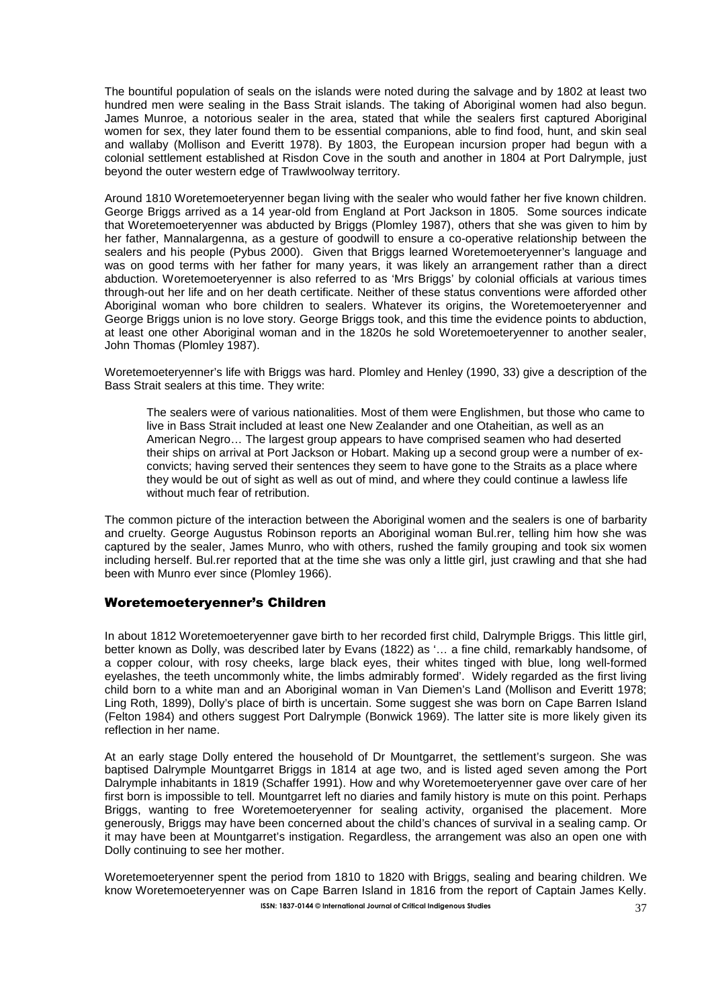The bountiful population of seals on the islands were noted during the salvage and by 1802 at least two hundred men were sealing in the Bass Strait islands. The taking of Aboriginal women had also begun. James Munroe, a notorious sealer in the area, stated that while the sealers first captured Aboriginal women for sex, they later found them to be essential companions, able to find food, hunt, and skin seal and wallaby (Mollison and Everitt 1978). By 1803, the European incursion proper had begun with a colonial settlement established at Risdon Cove in the south and another in 1804 at Port Dalrymple, just beyond the outer western edge of Trawlwoolway territory.

Around 1810 Woretemoeteryenner began living with the sealer who would father her five known children. George Briggs arrived as a 14 year-old from England at Port Jackson in 1805. Some sources indicate that Woretemoeteryenner was abducted by Briggs (Plomley 1987), others that she was given to him by her father, Mannalargenna, as a gesture of goodwill to ensure a co-operative relationship between the sealers and his people (Pybus 2000). Given that Briggs learned Woretemoeteryenner's language and was on good terms with her father for many years, it was likely an arrangement rather than a direct abduction. Woretemoeteryenner is also referred to as 'Mrs Briggs' by colonial officials at various times through-out her life and on her death certificate. Neither of these status conventions were afforded other Aboriginal woman who bore children to sealers. Whatever its origins, the Woretemoeteryenner and George Briggs union is no love story. George Briggs took, and this time the evidence points to abduction, at least one other Aboriginal woman and in the 1820s he sold Woretemoeteryenner to another sealer, John Thomas (Plomley 1987).

Woretemoeteryenner's life with Briggs was hard. Plomley and Henley (1990, 33) give a description of the Bass Strait sealers at this time. They write:

The sealers were of various nationalities. Most of them were Englishmen, but those who came to live in Bass Strait included at least one New Zealander and one Otaheitian, as well as an American Negro… The largest group appears to have comprised seamen who had deserted their ships on arrival at Port Jackson or Hobart. Making up a second group were a number of exconvicts; having served their sentences they seem to have gone to the Straits as a place where they would be out of sight as well as out of mind, and where they could continue a lawless life without much fear of retribution.

The common picture of the interaction between the Aboriginal women and the sealers is one of barbarity and cruelty. George Augustus Robinson reports an Aboriginal woman Bul.rer, telling him how she was captured by the sealer, James Munro, who with others, rushed the family grouping and took six women including herself. Bul.rer reported that at the time she was only a little girl, just crawling and that she had been with Munro ever since (Plomley 1966).

## Woretemoeteryenner's Children

In about 1812 Woretemoeteryenner gave birth to her recorded first child, Dalrymple Briggs. This little girl, better known as Dolly, was described later by Evans (1822) as '… a fine child, remarkably handsome, of a copper colour, with rosy cheeks, large black eyes, their whites tinged with blue, long well-formed eyelashes, the teeth uncommonly white, the limbs admirably formed'. Widely regarded as the first living child born to a white man and an Aboriginal woman in Van Diemen's Land (Mollison and Everitt 1978; Ling Roth, 1899), Dolly's place of birth is uncertain. Some suggest she was born on Cape Barren Island (Felton 1984) and others suggest Port Dalrymple (Bonwick 1969). The latter site is more likely given its reflection in her name.

At an early stage Dolly entered the household of Dr Mountgarret, the settlement's surgeon. She was baptised Dalrymple Mountgarret Briggs in 1814 at age two, and is listed aged seven among the Port Dalrymple inhabitants in 1819 (Schaffer 1991). How and why Woretemoeteryenner gave over care of her first born is impossible to tell. Mountgarret left no diaries and family history is mute on this point. Perhaps Briggs, wanting to free Woretemoeteryenner for sealing activity, organised the placement. More generously, Briggs may have been concerned about the child's chances of survival in a sealing camp. Or it may have been at Mountgarret's instigation. Regardless, the arrangement was also an open one with Dolly continuing to see her mother.

**ISSN: 1837-0144 © International Journal of Critical Indigenous Studies** 37 Woretemoeteryenner spent the period from 1810 to 1820 with Briggs, sealing and bearing children. We know Woretemoeteryenner was on Cape Barren Island in 1816 from the report of Captain James Kelly.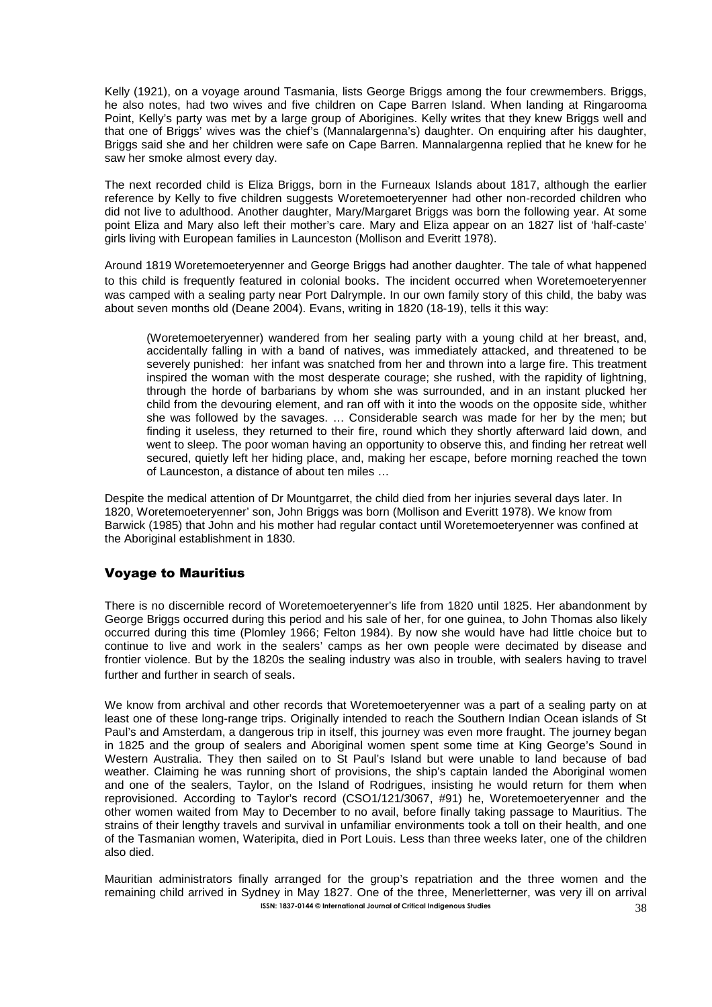Kelly (1921), on a voyage around Tasmania, lists George Briggs among the four crewmembers. Briggs, he also notes, had two wives and five children on Cape Barren Island. When landing at Ringarooma Point. Kelly's party was met by a large group of Aborigines. Kelly writes that they knew Briggs well and that one of Briggs' wives was the chief's (Mannalargenna's) daughter. On enquiring after his daughter, Briggs said she and her children were safe on Cape Barren. Mannalargenna replied that he knew for he saw her smoke almost every day.

The next recorded child is Eliza Briggs, born in the Furneaux Islands about 1817, although the earlier reference by Kelly to five children suggests Woretemoeteryenner had other non-recorded children who did not live to adulthood. Another daughter, Mary/Margaret Briggs was born the following year. At some point Eliza and Mary also left their mother's care. Mary and Eliza appear on an 1827 list of 'half-caste' girls living with European families in Launceston (Mollison and Everitt 1978).

Around 1819 Woretemoeteryenner and George Briggs had another daughter. The tale of what happened to this child is frequently featured in colonial books. The incident occurred when Woretemoeteryenner was camped with a sealing party near Port Dalrymple. In our own family story of this child, the baby was about seven months old (Deane 2004). Evans, writing in 1820 (18-19), tells it this way:

(Woretemoeteryenner) wandered from her sealing party with a young child at her breast, and, accidentally falling in with a band of natives, was immediately attacked, and threatened to be severely punished: her infant was snatched from her and thrown into a large fire. This treatment inspired the woman with the most desperate courage; she rushed, with the rapidity of lightning, through the horde of barbarians by whom she was surrounded, and in an instant plucked her child from the devouring element, and ran off with it into the woods on the opposite side, whither she was followed by the savages. … Considerable search was made for her by the men; but finding it useless, they returned to their fire, round which they shortly afterward laid down, and went to sleep. The poor woman having an opportunity to observe this, and finding her retreat well secured, quietly left her hiding place, and, making her escape, before morning reached the town of Launceston, a distance of about ten miles …

Despite the medical attention of Dr Mountgarret, the child died from her injuries several days later. In 1820, Woretemoeteryenner' son, John Briggs was born (Mollison and Everitt 1978). We know from Barwick (1985) that John and his mother had regular contact until Woretemoeteryenner was confined at the Aboriginal establishment in 1830.

## Voyage to Mauritius

There is no discernible record of Woretemoeteryenner's life from 1820 until 1825. Her abandonment by George Briggs occurred during this period and his sale of her, for one guinea, to John Thomas also likely occurred during this time (Plomley 1966; Felton 1984). By now she would have had little choice but to continue to live and work in the sealers' camps as her own people were decimated by disease and frontier violence. But by the 1820s the sealing industry was also in trouble, with sealers having to travel further and further in search of seals.

We know from archival and other records that Woretemoeteryenner was a part of a sealing party on at least one of these long-range trips. Originally intended to reach the Southern Indian Ocean islands of St Paul's and Amsterdam, a dangerous trip in itself, this journey was even more fraught. The journey began in 1825 and the group of sealers and Aboriginal women spent some time at King George's Sound in Western Australia. They then sailed on to St Paul's Island but were unable to land because of bad weather. Claiming he was running short of provisions, the ship's captain landed the Aboriginal women and one of the sealers, Taylor, on the Island of Rodrigues, insisting he would return for them when reprovisioned. According to Taylor's record (CSO1/121/3067, #91) he, Woretemoeteryenner and the other women waited from May to December to no avail, before finally taking passage to Mauritius. The strains of their lengthy travels and survival in unfamiliar environments took a toll on their health, and one of the Tasmanian women, Wateripita, died in Port Louis. Less than three weeks later, one of the children also died.

**ISSN: 1837-0144 © International Journal of Critical Indigenous Studies** 38 Mauritian administrators finally arranged for the group's repatriation and the three women and the remaining child arrived in Sydney in May 1827. One of the three, Menerletterner, was very ill on arrival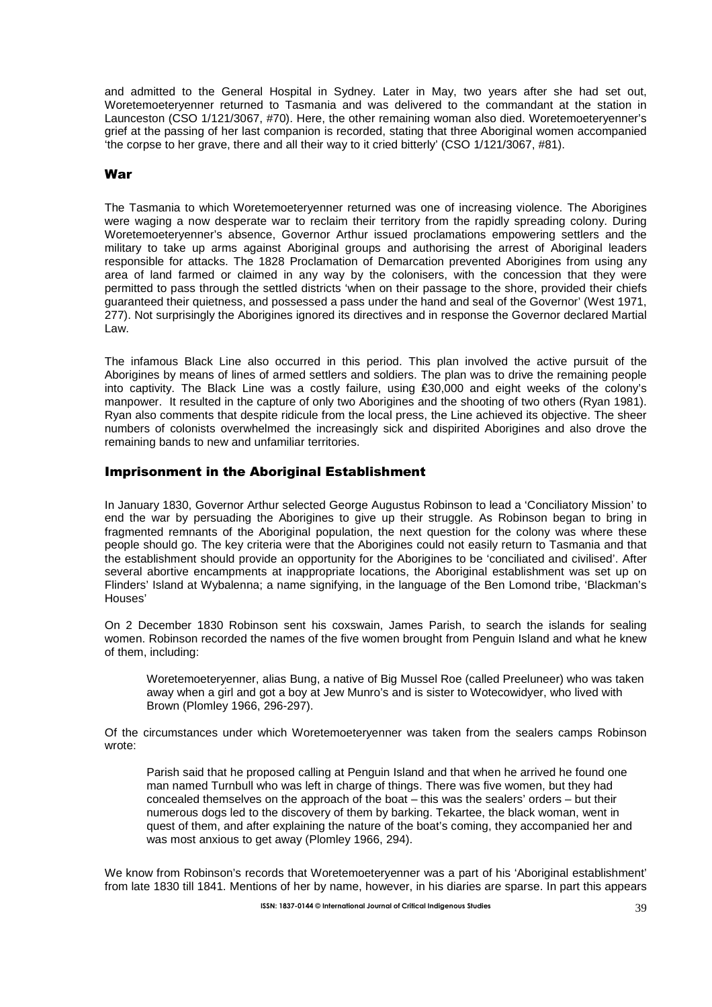and admitted to the General Hospital in Sydney. Later in May, two years after she had set out, Woretemoeteryenner returned to Tasmania and was delivered to the commandant at the station in Launceston (CSO 1/121/3067, #70). Here, the other remaining woman also died. Woretemoeteryenner's grief at the passing of her last companion is recorded, stating that three Aboriginal women accompanied 'the corpse to her grave, there and all their way to it cried bitterly' (CSO 1/121/3067, #81).

#### War

The Tasmania to which Woretemoeteryenner returned was one of increasing violence. The Aborigines were waging a now desperate war to reclaim their territory from the rapidly spreading colony. During Woretemoeteryenner's absence, Governor Arthur issued proclamations empowering settlers and the military to take up arms against Aboriginal groups and authorising the arrest of Aboriginal leaders responsible for attacks. The 1828 Proclamation of Demarcation prevented Aborigines from using any area of land farmed or claimed in any way by the colonisers, with the concession that they were permitted to pass through the settled districts 'when on their passage to the shore, provided their chiefs guaranteed their quietness, and possessed a pass under the hand and seal of the Governor' (West 1971, 277). Not surprisingly the Aborigines ignored its directives and in response the Governor declared Martial Law.

The infamous Black Line also occurred in this period. This plan involved the active pursuit of the Aborigines by means of lines of armed settlers and soldiers. The plan was to drive the remaining people into captivity. The Black Line was a costly failure, using ₤30,000 and eight weeks of the colony's manpower. It resulted in the capture of only two Aborigines and the shooting of two others (Ryan 1981). Ryan also comments that despite ridicule from the local press, the Line achieved its objective. The sheer numbers of colonists overwhelmed the increasingly sick and dispirited Aborigines and also drove the remaining bands to new and unfamiliar territories.

#### Imprisonment in the Aboriginal Establishment

In January 1830, Governor Arthur selected George Augustus Robinson to lead a 'Conciliatory Mission' to end the war by persuading the Aborigines to give up their struggle. As Robinson began to bring in fragmented remnants of the Aboriginal population, the next question for the colony was where these people should go. The key criteria were that the Aborigines could not easily return to Tasmania and that the establishment should provide an opportunity for the Aborigines to be 'conciliated and civilised'. After several abortive encampments at inappropriate locations, the Aboriginal establishment was set up on Flinders' Island at Wybalenna; a name signifying, in the language of the Ben Lomond tribe, 'Blackman's Houses'

On 2 December 1830 Robinson sent his coxswain, James Parish, to search the islands for sealing women. Robinson recorded the names of the five women brought from Penguin Island and what he knew of them, including:

Woretemoeteryenner, alias Bung, a native of Big Mussel Roe (called Preeluneer) who was taken away when a girl and got a boy at Jew Munro's and is sister to Wotecowidyer, who lived with Brown (Plomley 1966, 296-297).

Of the circumstances under which Woretemoeteryenner was taken from the sealers camps Robinson wrote:

Parish said that he proposed calling at Penguin Island and that when he arrived he found one man named Turnbull who was left in charge of things. There was five women, but they had concealed themselves on the approach of the boat – this was the sealers' orders – but their numerous dogs led to the discovery of them by barking. Tekartee, the black woman, went in quest of them, and after explaining the nature of the boat's coming, they accompanied her and was most anxious to get away (Plomley 1966, 294).

We know from Robinson's records that Woretemoeteryenner was a part of his 'Aboriginal establishment' from late 1830 till 1841. Mentions of her by name, however, in his diaries are sparse. In part this appears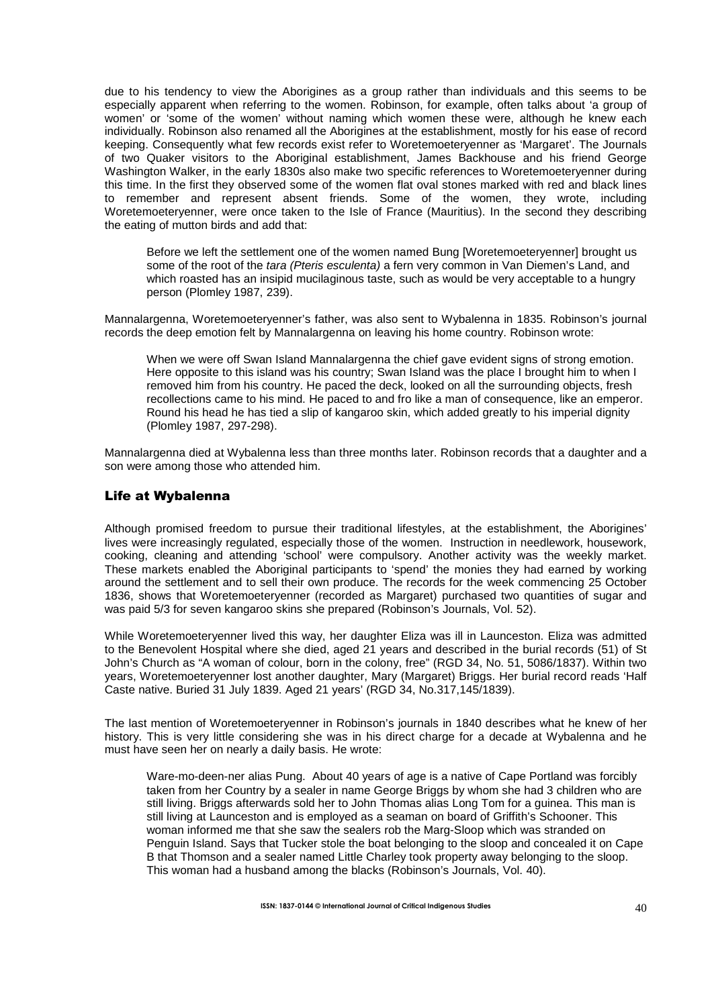due to his tendency to view the Aborigines as a group rather than individuals and this seems to be especially apparent when referring to the women. Robinson, for example, often talks about 'a group of women' or 'some of the women' without naming which women these were, although he knew each individually. Robinson also renamed all the Aborigines at the establishment, mostly for his ease of record keeping. Consequently what few records exist refer to Woretemoeteryenner as 'Margaret'. The Journals of two Quaker visitors to the Aboriginal establishment, James Backhouse and his friend George Washington Walker, in the early 1830s also make two specific references to Woretemoeteryenner during this time. In the first they observed some of the women flat oval stones marked with red and black lines to remember and represent absent friends. Some of the women, they wrote, including Woretemoeteryenner, were once taken to the Isle of France (Mauritius). In the second they describing the eating of mutton birds and add that:

Before we left the settlement one of the women named Bung [Woretemoeteryenner] brought us some of the root of the tara (Pteris esculenta) a fern very common in Van Diemen's Land, and which roasted has an insipid mucilaginous taste, such as would be very acceptable to a hungry person (Plomley 1987, 239).

Mannalargenna, Woretemoeteryenner's father, was also sent to Wybalenna in 1835. Robinson's journal records the deep emotion felt by Mannalargenna on leaving his home country. Robinson wrote:

When we were off Swan Island Mannalargenna the chief gave evident signs of strong emotion. Here opposite to this island was his country; Swan Island was the place I brought him to when I removed him from his country. He paced the deck, looked on all the surrounding objects, fresh recollections came to his mind. He paced to and fro like a man of consequence, like an emperor. Round his head he has tied a slip of kangaroo skin, which added greatly to his imperial dignity (Plomley 1987, 297-298).

Mannalargenna died at Wybalenna less than three months later. Robinson records that a daughter and a son were among those who attended him.

#### Life at Wybalenna

Although promised freedom to pursue their traditional lifestyles, at the establishment, the Aborigines' lives were increasingly regulated, especially those of the women. Instruction in needlework, housework, cooking, cleaning and attending 'school' were compulsory. Another activity was the weekly market. These markets enabled the Aboriginal participants to 'spend' the monies they had earned by working around the settlement and to sell their own produce. The records for the week commencing 25 October 1836, shows that Woretemoeteryenner (recorded as Margaret) purchased two quantities of sugar and was paid 5/3 for seven kangaroo skins she prepared (Robinson's Journals, Vol. 52).

While Woretemoeteryenner lived this way, her daughter Eliza was ill in Launceston. Eliza was admitted to the Benevolent Hospital where she died, aged 21 years and described in the burial records (51) of St John's Church as "A woman of colour, born in the colony, free" (RGD 34, No. 51, 5086/1837). Within two years, Woretemoeteryenner lost another daughter, Mary (Margaret) Briggs. Her burial record reads 'Half Caste native. Buried 31 July 1839. Aged 21 years' (RGD 34, No.317,145/1839).

The last mention of Woretemoeteryenner in Robinson's journals in 1840 describes what he knew of her history. This is very little considering she was in his direct charge for a decade at Wybalenna and he must have seen her on nearly a daily basis. He wrote:

Ware-mo-deen-ner alias Pung. About 40 years of age is a native of Cape Portland was forcibly taken from her Country by a sealer in name George Briggs by whom she had 3 children who are still living. Briggs afterwards sold her to John Thomas alias Long Tom for a guinea. This man is still living at Launceston and is employed as a seaman on board of Griffith's Schooner. This woman informed me that she saw the sealers rob the Marg-Sloop which was stranded on Penguin Island. Says that Tucker stole the boat belonging to the sloop and concealed it on Cape B that Thomson and a sealer named Little Charley took property away belonging to the sloop. This woman had a husband among the blacks (Robinson's Journals, Vol. 40).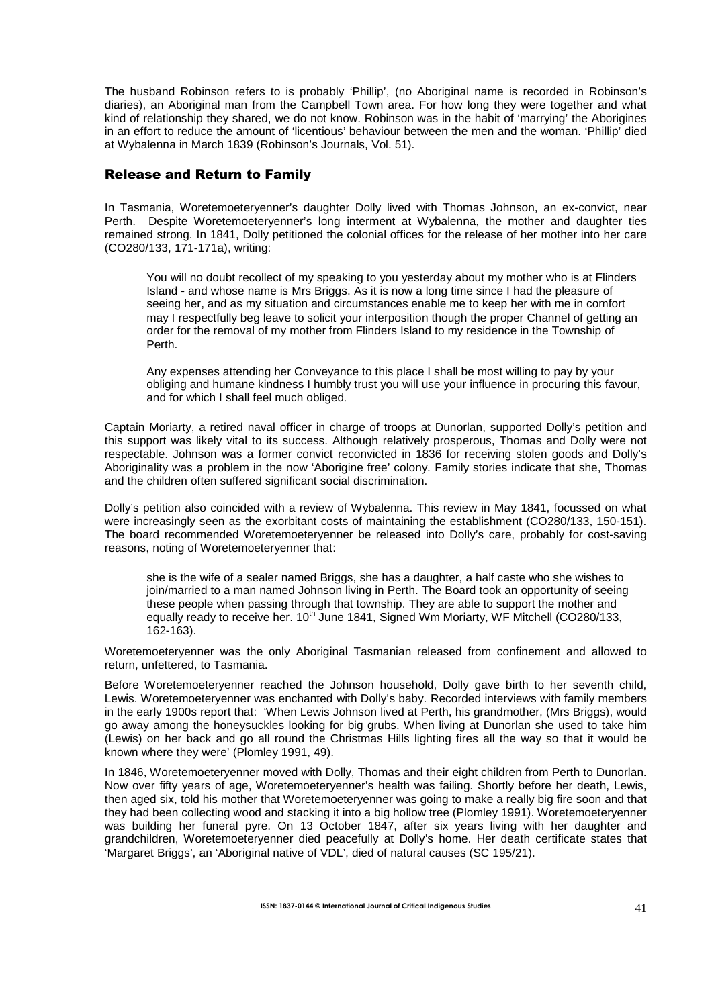The husband Robinson refers to is probably 'Phillip', (no Aboriginal name is recorded in Robinson's diaries), an Aboriginal man from the Campbell Town area. For how long they were together and what kind of relationship they shared, we do not know. Robinson was in the habit of 'marrying' the Aborigines in an effort to reduce the amount of 'licentious' behaviour between the men and the woman. 'Phillip' died at Wybalenna in March 1839 (Robinson's Journals, Vol. 51).

#### Release and Return to Family

In Tasmania, Woretemoeteryenner's daughter Dolly lived with Thomas Johnson, an ex-convict, near Perth. Despite Woretemoeteryenner's long interment at Wybalenna, the mother and daughter ties remained strong. In 1841, Dolly petitioned the colonial offices for the release of her mother into her care (CO280/133, 171-171a), writing:

You will no doubt recollect of my speaking to you yesterday about my mother who is at Flinders Island - and whose name is Mrs Briggs. As it is now a long time since I had the pleasure of seeing her, and as my situation and circumstances enable me to keep her with me in comfort may I respectfully beg leave to solicit your interposition though the proper Channel of getting an order for the removal of my mother from Flinders Island to my residence in the Township of Perth.

Any expenses attending her Conveyance to this place I shall be most willing to pay by your obliging and humane kindness I humbly trust you will use your influence in procuring this favour, and for which I shall feel much obliged.

Captain Moriarty, a retired naval officer in charge of troops at Dunorlan, supported Dolly's petition and this support was likely vital to its success. Although relatively prosperous, Thomas and Dolly were not respectable. Johnson was a former convict reconvicted in 1836 for receiving stolen goods and Dolly's Aboriginality was a problem in the now 'Aborigine free' colony. Family stories indicate that she, Thomas and the children often suffered significant social discrimination.

Dolly's petition also coincided with a review of Wybalenna. This review in May 1841, focussed on what were increasingly seen as the exorbitant costs of maintaining the establishment (CO280/133, 150-151). The board recommended Woretemoeteryenner be released into Dolly's care, probably for cost-saving reasons, noting of Woretemoeteryenner that:

she is the wife of a sealer named Briggs, she has a daughter, a half caste who she wishes to join/married to a man named Johnson living in Perth. The Board took an opportunity of seeing these people when passing through that township. They are able to support the mother and equally ready to receive her. 10<sup>th</sup> June 1841, Signed Wm Moriarty, WF Mitchell (CO280/133, 162-163).

Woretemoeteryenner was the only Aboriginal Tasmanian released from confinement and allowed to return, unfettered, to Tasmania.

Before Woretemoeteryenner reached the Johnson household, Dolly gave birth to her seventh child, Lewis. Woretemoeteryenner was enchanted with Dolly's baby. Recorded interviews with family members in the early 1900s report that: 'When Lewis Johnson lived at Perth, his grandmother, (Mrs Briggs), would go away among the honeysuckles looking for big grubs. When living at Dunorlan she used to take him (Lewis) on her back and go all round the Christmas Hills lighting fires all the way so that it would be known where they were' (Plomley 1991, 49).

In 1846, Woretemoeteryenner moved with Dolly, Thomas and their eight children from Perth to Dunorlan. Now over fifty years of age, Woretemoeteryenner's health was failing. Shortly before her death, Lewis, then aged six, told his mother that Woretemoeteryenner was going to make a really big fire soon and that they had been collecting wood and stacking it into a big hollow tree (Plomley 1991). Woretemoeteryenner was building her funeral pyre. On 13 October 1847, after six years living with her daughter and grandchildren, Woretemoeteryenner died peacefully at Dolly's home. Her death certificate states that 'Margaret Briggs', an 'Aboriginal native of VDL', died of natural causes (SC 195/21).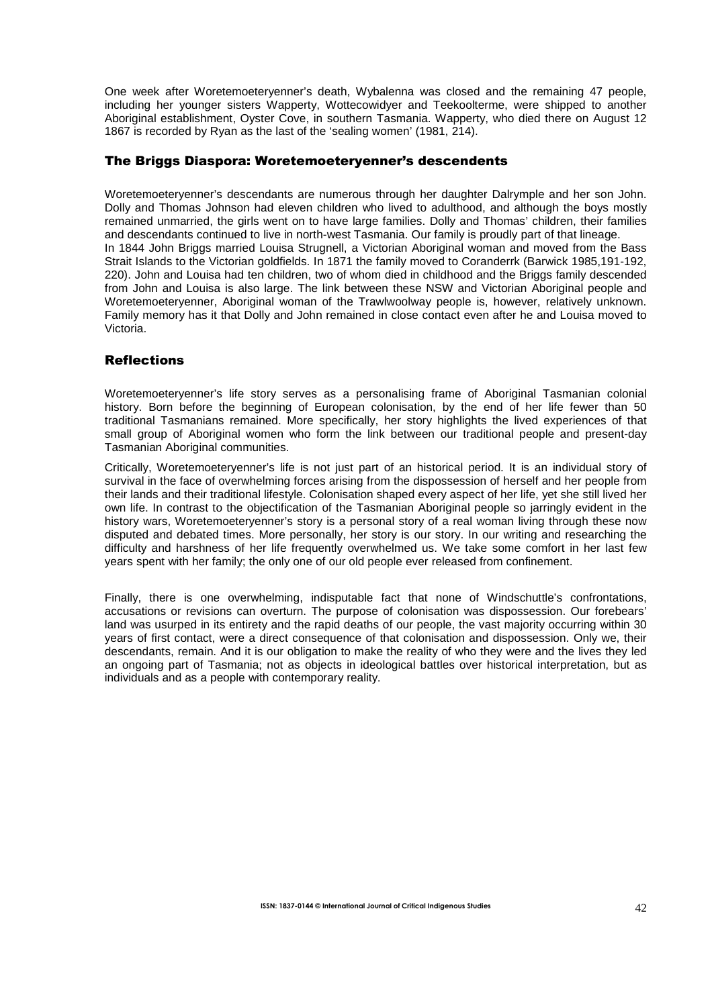One week after Woretemoeteryenner's death, Wybalenna was closed and the remaining 47 people, including her younger sisters Wapperty, Wottecowidyer and Teekoolterme, were shipped to another Aboriginal establishment, Oyster Cove, in southern Tasmania. Wapperty, who died there on August 12 1867 is recorded by Ryan as the last of the 'sealing women' (1981, 214).

# The Briggs Diaspora: Woretemoeteryenner's descendents

Woretemoeteryenner's descendants are numerous through her daughter Dalrymple and her son John. Dolly and Thomas Johnson had eleven children who lived to adulthood, and although the boys mostly remained unmarried, the girls went on to have large families. Dolly and Thomas' children, their families and descendants continued to live in north-west Tasmania. Our family is proudly part of that lineage. In 1844 John Briggs married Louisa Strugnell, a Victorian Aboriginal woman and moved from the Bass Strait Islands to the Victorian goldfields. In 1871 the family moved to Coranderrk (Barwick 1985,191-192, 220). John and Louisa had ten children, two of whom died in childhood and the Briggs family descended from John and Louisa is also large. The link between these NSW and Victorian Aboriginal people and Woretemoeteryenner, Aboriginal woman of the Trawlwoolway people is, however, relatively unknown. Family memory has it that Dolly and John remained in close contact even after he and Louisa moved to Victoria.

## Reflections

Woretemoeteryenner's life story serves as a personalising frame of Aboriginal Tasmanian colonial history. Born before the beginning of European colonisation, by the end of her life fewer than 50 traditional Tasmanians remained. More specifically, her story highlights the lived experiences of that small group of Aboriginal women who form the link between our traditional people and present-day Tasmanian Aboriginal communities.

Critically, Woretemoeteryenner's life is not just part of an historical period. It is an individual story of survival in the face of overwhelming forces arising from the dispossession of herself and her people from their lands and their traditional lifestyle. Colonisation shaped every aspect of her life, yet she still lived her own life. In contrast to the objectification of the Tasmanian Aboriginal people so jarringly evident in the history wars, Woretemoeteryenner's story is a personal story of a real woman living through these now disputed and debated times. More personally, her story is our story. In our writing and researching the difficulty and harshness of her life frequently overwhelmed us. We take some comfort in her last few years spent with her family; the only one of our old people ever released from confinement.

Finally, there is one overwhelming, indisputable fact that none of Windschuttle's confrontations, accusations or revisions can overturn. The purpose of colonisation was dispossession. Our forebears' land was usurped in its entirety and the rapid deaths of our people, the vast majority occurring within 30 years of first contact, were a direct consequence of that colonisation and dispossession. Only we, their descendants, remain. And it is our obligation to make the reality of who they were and the lives they led an ongoing part of Tasmania; not as objects in ideological battles over historical interpretation, but as individuals and as a people with contemporary reality.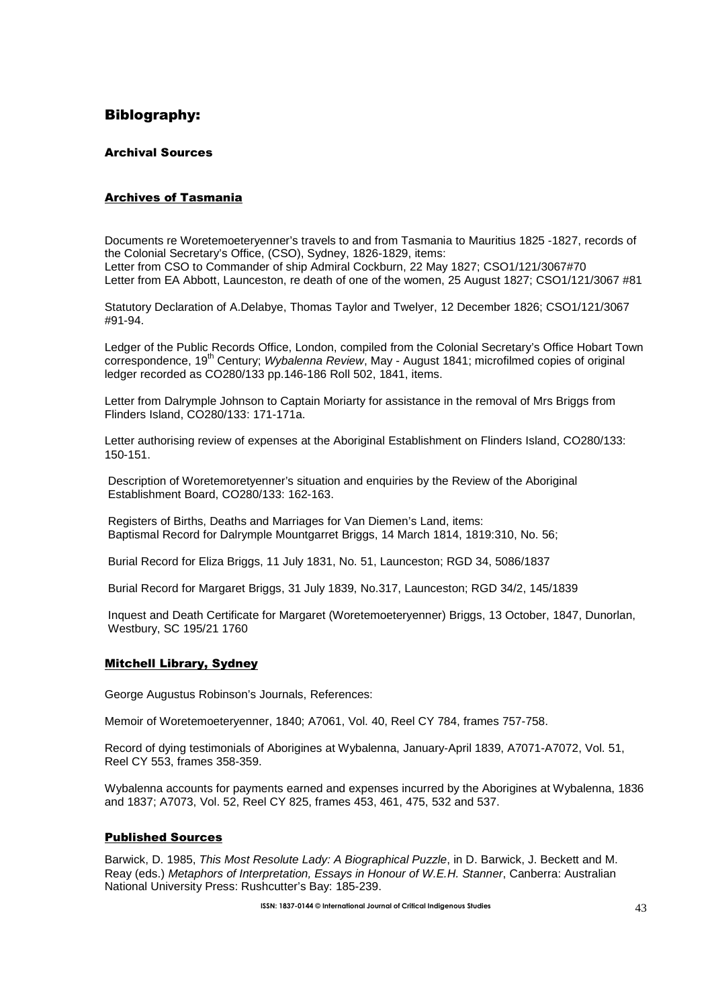# Biblography:

#### Archival Sources

# Archives of Tasmania

Documents re Woretemoeteryenner's travels to and from Tasmania to Mauritius 1825 -1827, records of the Colonial Secretary's Office, (CSO), Sydney, 1826-1829, items: Letter from CSO to Commander of ship Admiral Cockburn, 22 May 1827; CSO1/121/3067#70 Letter from EA Abbott, Launceston, re death of one of the women, 25 August 1827; CSO1/121/3067 #81

Statutory Declaration of A.Delabye, Thomas Taylor and Twelyer, 12 December 1826; CSO1/121/3067 #91-94.

Ledger of the Public Records Office, London, compiled from the Colonial Secretary's Office Hobart Town correspondence, 19<sup>th</sup> Century; *Wybalenna Review*, May - August 1841; microfilmed copies of original ledger recorded as CO280/133 pp.146-186 Roll 502, 1841, items.

Letter from Dalrymple Johnson to Captain Moriarty for assistance in the removal of Mrs Briggs from Flinders Island, CO280/133: 171-171a.

Letter authorising review of expenses at the Aboriginal Establishment on Flinders Island, CO280/133: 150-151.

Description of Woretemoretyenner's situation and enquiries by the Review of the Aboriginal Establishment Board, CO280/133: 162-163.

Registers of Births, Deaths and Marriages for Van Diemen's Land, items: Baptismal Record for Dalrymple Mountgarret Briggs, 14 March 1814, 1819:310, No. 56;

Burial Record for Eliza Briggs, 11 July 1831, No. 51, Launceston; RGD 34, 5086/1837

Burial Record for Margaret Briggs, 31 July 1839, No.317, Launceston; RGD 34/2, 145/1839

Inquest and Death Certificate for Margaret (Woretemoeteryenner) Briggs, 13 October, 1847, Dunorlan, Westbury, SC 195/21 1760

#### Mitchell Library, Sydney

George Augustus Robinson's Journals, References:

Memoir of Woretemoeteryenner, 1840; A7061, Vol. 40, Reel CY 784, frames 757-758.

Record of dying testimonials of Aborigines at Wybalenna, January-April 1839, A7071-A7072, Vol. 51, Reel CY 553, frames 358-359.

Wybalenna accounts for payments earned and expenses incurred by the Aborigines at Wybalenna, 1836 and 1837; A7073, Vol. 52, Reel CY 825, frames 453, 461, 475, 532 and 537.

#### Published Sources

Barwick, D. 1985, This Most Resolute Lady: A Biographical Puzzle, in D. Barwick, J. Beckett and M. Reay (eds.) Metaphors of Interpretation, Essays in Honour of W.E.H. Stanner, Canberra: Australian National University Press: Rushcutter's Bay: 185-239.